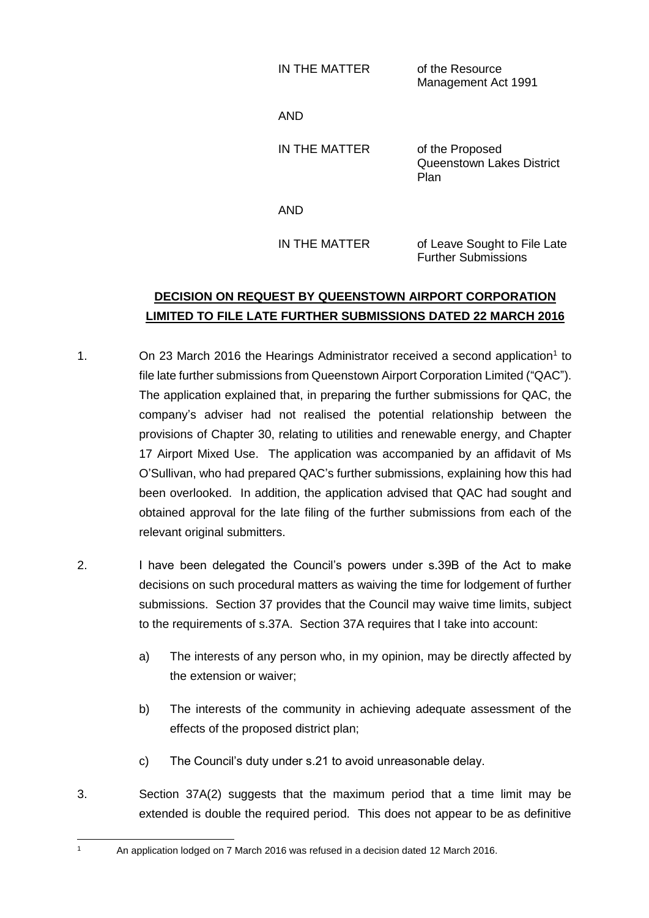IN THE MATTER of the Resource

Management Act 1991

AND

IN THE MATTER of the Proposed Queenstown Lakes District Plan

AND

IN THE MATTER of Leave Sought to File Late Further Submissions

## **DECISION ON REQUEST BY QUEENSTOWN AIRPORT CORPORATION LIMITED TO FILE LATE FURTHER SUBMISSIONS DATED 22 MARCH 2016**

- 1. On 23 March 2016 the Hearings Administrator received a second application<sup>1</sup> to file late further submissions from Queenstown Airport Corporation Limited ("QAC"). The application explained that, in preparing the further submissions for QAC, the company's adviser had not realised the potential relationship between the provisions of Chapter 30, relating to utilities and renewable energy, and Chapter 17 Airport Mixed Use. The application was accompanied by an affidavit of Ms O'Sullivan, who had prepared QAC's further submissions, explaining how this had been overlooked. In addition, the application advised that QAC had sought and obtained approval for the late filing of the further submissions from each of the relevant original submitters.
- 2. I have been delegated the Council's powers under s.39B of the Act to make decisions on such procedural matters as waiving the time for lodgement of further submissions. Section 37 provides that the Council may waive time limits, subject to the requirements of s.37A. Section 37A requires that I take into account:
	- a) The interests of any person who, in my opinion, may be directly affected by the extension or waiver;
	- b) The interests of the community in achieving adequate assessment of the effects of the proposed district plan;
	- c) The Council's duty under s.21 to avoid unreasonable delay.
- 3. Section 37A(2) suggests that the maximum period that a time limit may be extended is double the required period. This does not appear to be as definitive

 $\mathbf{1}$ 

<sup>1</sup> An application lodged on 7 March 2016 was refused in a decision dated 12 March 2016.